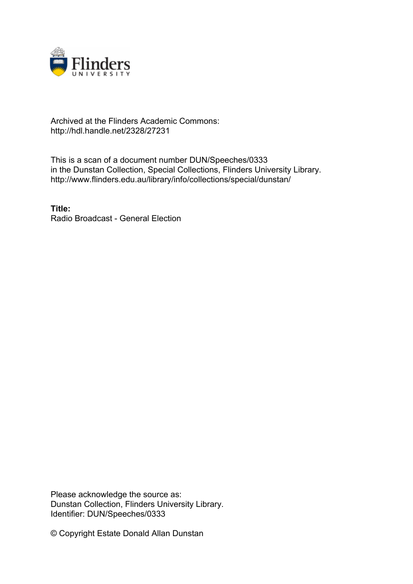

## Archived at the Flinders Academic Commons: http://hdl.handle.net/2328/27231

This is a scan of a document number DUN/Speeches/0333 in the Dunstan Collection, Special Collections, Flinders University Library. http://www.flinders.edu.au/library/info/collections/special/dunstan/

**Title:** Radio Broadcast - General Election

Please acknowledge the source as: Dunstan Collection, Flinders University Library. Identifier: DUN/Speeches/0333

© Copyright Estate Donald Allan Dunstan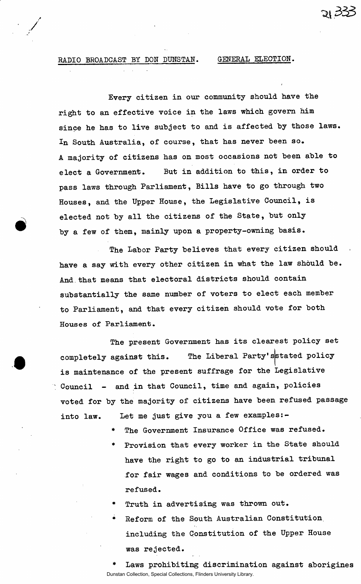## RADIO BROADCAST BY DON DUNSTAN. GENERAL ELECTION.

Every citizen in our community should have the right to an effective voice in the laws which govern him since he has to live subject to and is affected by those laws. In South Australia, of course, that has never been so. A majority of citizens has on most occasions not been able to elect a Government. But in addition to this, in order to pass laws through Parliament, Bills have to go through two Houses, and the Upper House, the Legislative Council, is elected not by all the citizens of the State, but only by a few of them, mainly upon a property-owning basis.

The Labor Party believes that every citizen should have a say with every other citizen in what the law should be. And that means that electoral districts should contain substantially the same number of voters to elect each member to Parliament, and that every citizen should vote for both Houses of Parliament.

The present Government has its clearest policy set completely against this. The Liberal Party'sstated policy is maintenance of the present suffrage for the Legislative Council - and in that Council, time and again, policies voted for by the majority of citizens have been refused passage into law. Let me just give you a few examples:-

- The Government Insurance Office was refused.
- Provision that every worker in the State should have the right to go to an industrial tribunal for fair wages and conditions to be ordered was refused.
- Truth in advertising was thrown out.
- Reform of the South Australian Constitution, including the Constitution of the Upper House was rejected.

Laws prohibiting discrimination against aborigines Dunstan Collection, Special Collections, Flinders University Library.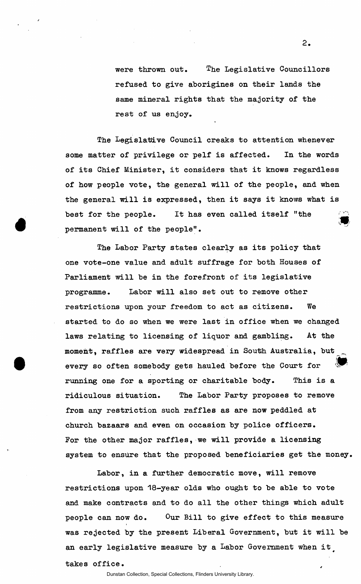were thrown out. The Legislative Councillors refused to give aborigines on their lands the same mineral rights that the majority of the rest of us enjoy.

The Legislative Council creaks to attention whenever some matter of privilege or pelf is affected. In the words of its Chief Minister, it considers that it knows regardless of how people vote, the general will of the people, and when the general will is expressed, then it says it knows what is best for the people. It has even called itself "the permanent will of the people".

The Labor Party states clearly as its policy that one vote-one value and adult suffrage for both Houses of Parliament will be in the forefront of its legislative programme. Labor will also set out to remove other restrictions upon your freedom to act as citizens. We started to do so when we were last in office when we changed laws relating to licensing of liquor and gambling. At the moment, raffles are very widespread in South Australia, but every so often somebody gets hauled before the Court for<br>running one for a sporting or charitable body. This is a *• M*  running one for a sporting or charitable body. This is a sporting or charitable body. This is a sporting or charitable body. This is a sporting or charitable body. This is a sporting or continuous continuous continuous con ridiculous situation. ridiculous situation. The Labor Party proposes to remove from any restriction such raffles as are now peddled at church bazaars and even on occasion by police officers. For the other major raffles, we will provide a licensing system to ensure that the proposed beneficiaries get the money,

Labor, in a further democratic move, will remove restrictions upon 18-year olds who ought to be able to vote and make contracts and to do all the other things which adult people can now do. Our Bill to give effect to this measure was rejected by the present Liberal Government, but it will be an early legislative measure by a Labor Government when it